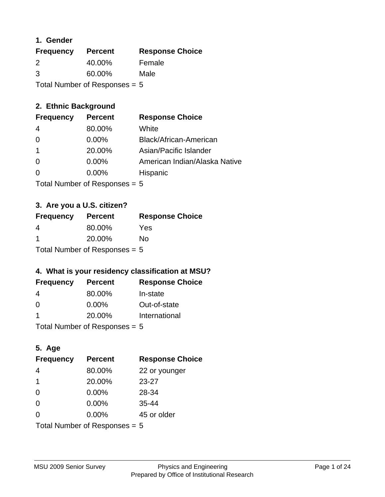## **1. Gender**

| <b>Frequency</b> | <b>Percent</b>                  | <b>Response Choice</b> |
|------------------|---------------------------------|------------------------|
| 2                | 40.00%                          | Female                 |
| 3                | 60.00%                          | Male                   |
|                  | Total Number of Responses = $5$ |                        |

# **2. Ethnic Background**

| <b>Frequency</b> | <b>Percent</b> | <b>Response Choice</b>        |
|------------------|----------------|-------------------------------|
| 4                | 80.00%         | White                         |
| $\Omega$         | $0.00\%$       | Black/African-American        |
|                  | 20.00%         | Asian/Pacific Islander        |
| $\Omega$         | $0.00\%$       | American Indian/Alaska Native |
|                  | 0.00%          | Hispanic                      |
|                  |                |                               |

Total Number of Responses = 5

# **3. Are you a U.S. citizen?**

| <b>Frequency</b>                | <b>Percent</b> | <b>Response Choice</b> |
|---------------------------------|----------------|------------------------|
| 4                               | 80.00%         | Yes                    |
| -1                              | 20.00%         | Nο                     |
| Total Number of Responses $= 5$ |                |                        |

# **4. What is your residency classification at MSU?**

| <b>Frequency</b> | <b>Percent</b> | <b>Response Choice</b> |
|------------------|----------------|------------------------|
| -4               | 80.00%         | In-state               |
| -0               | $0.00\%$       | Out-of-state           |
| -1               | 20.00%         | International          |
|                  |                |                        |

Total Number of Responses = 5

# **5. Age**

| <b>Frequency</b>                | <b>Percent</b> | <b>Response Choice</b> |
|---------------------------------|----------------|------------------------|
| 4                               | 80.00%         | 22 or younger          |
| 1                               | 20.00%         | 23-27                  |
| $\Omega$                        | 0.00%          | 28-34                  |
| $\Omega$                        | 0.00%          | 35-44                  |
| $\Omega$                        | 0.00%          | 45 or older            |
| Total Number of Responses $= 5$ |                |                        |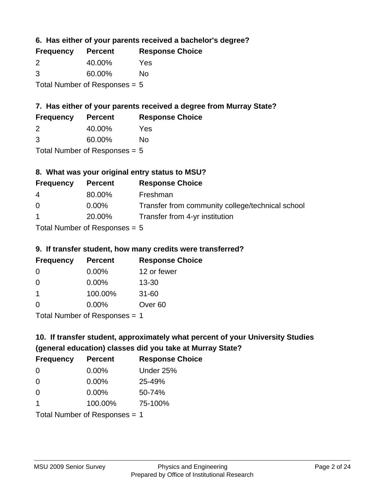**6. Has either of your parents received a bachelor's degree?**

| <b>Frequency</b> | <b>Percent</b>                  | <b>Response Choice</b> |
|------------------|---------------------------------|------------------------|
| 2                | 40.00%                          | Yes                    |
| 3                | 60.00%                          | No                     |
|                  | Total Number of Responses = $5$ |                        |

# **7. Has either of your parents received a degree from Murray State?**

| <b>Frequency</b> | <b>Percent</b> | <b>Response Choice</b> |
|------------------|----------------|------------------------|
|                  | 40.00%         | Yes                    |

| 3 | 60.00% | No |
|---|--------|----|

Total Number of Responses = 5

# **8. What was your original entry status to MSU?**

| <b>Frequency</b> | <b>Percent</b>                | <b>Response Choice</b>                           |
|------------------|-------------------------------|--------------------------------------------------|
| 4                | 80.00%                        | Freshman                                         |
| $\Omega$         | $0.00\%$                      | Transfer from community college/technical school |
| $\mathbf{1}$     | 20.00%                        | Transfer from 4-yr institution                   |
|                  | Tatal Mussolian of Dannamarca |                                                  |

Total Number of Responses = 5

## **9. If transfer student, how many credits were transferred?**

| <b>Frequency</b>              | <b>Percent</b> | <b>Response Choice</b> |
|-------------------------------|----------------|------------------------|
| -0                            | $0.00\%$       | 12 or fewer            |
| $\Omega$                      | $0.00\%$       | $13 - 30$              |
| 1                             | 100.00%        | $31 - 60$              |
| $\Omega$                      | 0.00%          | Over <sub>60</sub>     |
| Total Number of Poenances - 1 |                |                        |

I otal Number of Responses = 1

# **10. If transfer student, approximately what percent of your University Studies (general education) classes did you take at Murray State?**

| <b>Frequency</b>                | <b>Percent</b> | <b>Response Choice</b> |
|---------------------------------|----------------|------------------------|
| 0                               | $0.00\%$       | Under 25%              |
| $\Omega$                        | $0.00\%$       | 25-49%                 |
| $\Omega$                        | 0.00%          | 50-74%                 |
| $\blacktriangleleft$            | 100.00%        | 75-100%                |
| Total Number of Responses $= 1$ |                |                        |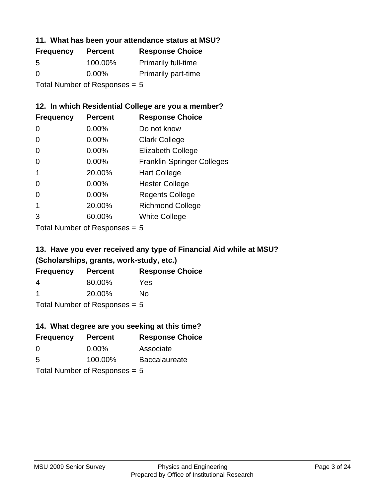## **11. What has been your attendance status at MSU?**

| <b>Frequency</b>                | <b>Percent</b> | <b>Response Choice</b>     |
|---------------------------------|----------------|----------------------------|
| 5                               | 100.00%        | <b>Primarily full-time</b> |
| $\Omega$                        | $0.00\%$       | <b>Primarily part-time</b> |
| Total Number of Responses = $5$ |                |                            |

# **12. In which Residential College are you a member?**

| <b>Frequency</b> | <b>Percent</b> | <b>Response Choice</b>            |
|------------------|----------------|-----------------------------------|
| 0                | 0.00%          | Do not know                       |
| 0                | 0.00%          | <b>Clark College</b>              |
| 0                | 0.00%          | <b>Elizabeth College</b>          |
| 0                | $0.00\%$       | <b>Franklin-Springer Colleges</b> |
|                  | 20.00%         | <b>Hart College</b>               |
| 0                | 0.00%          | <b>Hester College</b>             |
| O                | 0.00%          | <b>Regents College</b>            |
|                  | 20.00%         | <b>Richmond College</b>           |
| 3                | 60.00%         | <b>White College</b>              |

Total Number of Responses = 5

# **13. Have you ever received any type of Financial Aid while at MSU? (Scholarships, grants, work-study, etc.)**

| <b>Frequency</b>                | <b>Percent</b> | <b>Response Choice</b> |
|---------------------------------|----------------|------------------------|
| 4                               | 80.00%         | Yes                    |
| -1                              | 20.00%         | No                     |
| Total Number of Responses $= 5$ |                |                        |

**14. What degree are you seeking at this time?**

| <b>Frequency</b>                | <b>Percent</b> | <b>Response Choice</b> |
|---------------------------------|----------------|------------------------|
| 0                               | $0.00\%$       | Associate              |
| 5                               | 100.00%        | <b>Baccalaureate</b>   |
| Total Number of Responses $= 5$ |                |                        |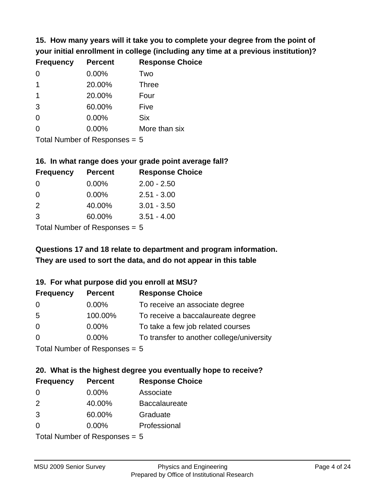**15. How many years will it take you to complete your degree from the point of your initial enrollment in college (including any time at a previous institution)?**

| <b>Frequency</b> | <b>Percent</b> | <b>Response Choice</b> |
|------------------|----------------|------------------------|
| $\Omega$         | 0.00%          | Two                    |
| 1                | 20.00%         | <b>Three</b>           |
| 1                | 20.00%         | Four                   |
| 3                | 60.00%         | Five                   |
| 0                | 0.00%          | <b>Six</b>             |
| $\Omega$         | 0.00%          | More than six          |
|                  |                |                        |

Total Number of Responses = 5

#### **16. In what range does your grade point average fall?**

| <b>Frequency</b> | <b>Percent</b> | <b>Response Choice</b> |
|------------------|----------------|------------------------|
| O                | $0.00\%$       | $2.00 - 2.50$          |
| 0                | 0.00%          | $2.51 - 3.00$          |
| $\mathcal{P}$    | 40.00%         | $3.01 - 3.50$          |
| 3                | 60.00%         | $3.51 - 4.00$          |
|                  |                |                        |

Total Number of Responses = 5

# **They are used to sort the data, and do not appear in this table Questions 17 and 18 relate to department and program information.**

## **19. For what purpose did you enroll at MSU?**

| <b>Frequency</b>            | <b>Percent</b> | <b>Response Choice</b>                    |
|-----------------------------|----------------|-------------------------------------------|
| 0                           | $0.00\%$       | To receive an associate degree            |
| 5                           | 100.00%        | To receive a baccalaureate degree         |
| $\overline{0}$              | $0.00\%$       | To take a few job related courses         |
| $\Omega$                    | 0.00%          | To transfer to another college/university |
| Total Number of Desponses E |                |                                           |

I otal Number of Responses  $= 5$ 

# **20. What is the highest degree you eventually hope to receive?**

| <b>Frequency</b> | <b>Percent</b>              | <b>Response Choice</b> |
|------------------|-----------------------------|------------------------|
| 0                | $0.00\%$                    | Associate              |
| 2                | 40.00%                      | <b>Baccalaureate</b>   |
| 3                | 60.00%                      | Graduate               |
| $\Omega$         | 0.00%                       | Professional           |
|                  | Total Number of Deepensee E |                        |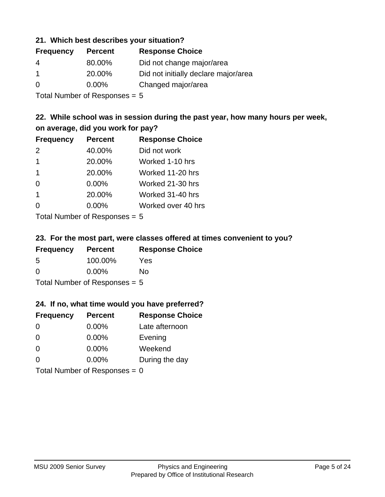## **21. Which best describes your situation?**

| <b>Frequency</b> | <b>Percent</b> | <b>Response Choice</b>               |
|------------------|----------------|--------------------------------------|
| -4               | 80.00%         | Did not change major/area            |
|                  | 20.00%         | Did not initially declare major/area |
| $\Omega$         | $0.00\%$       | Changed major/area                   |

Total Number of Responses = 5

# **22. While school was in session during the past year, how many hours per week, on average, did you work for pay?**

| <b>Frequency</b> | <b>Percent</b> | <b>Response Choice</b> |
|------------------|----------------|------------------------|
| 2                | 40.00%         | Did not work           |
| $\mathbf 1$      | 20.00%         | Worked 1-10 hrs        |
| $\mathbf 1$      | 20.00%         | Worked 11-20 hrs       |
| $\Omega$         | 0.00%          | Worked 21-30 hrs       |
| $\mathbf 1$      | 20.00%         | Worked 31-40 hrs       |
| $\Omega$         | 0.00%          | Worked over 40 hrs     |
|                  |                |                        |

Total Number of Responses = 5

## **23. For the most part, were classes offered at times convenient to you?**

| <b>Frequency</b>                | <b>Percent</b> | <b>Response Choice</b> |
|---------------------------------|----------------|------------------------|
| .5                              | 100.00%        | Yes                    |
| $\Omega$                        | $0.00\%$       | Nο                     |
| Total Number of Responses = $5$ |                |                        |

## **24. If no, what time would you have preferred?**

| <b>Frequency</b> | <b>Percent</b>                  | <b>Response Choice</b> |
|------------------|---------------------------------|------------------------|
| $\Omega$         | $0.00\%$                        | Late afternoon         |
| $\Omega$         | $0.00\%$                        | Evening                |
| $\Omega$         | $0.00\%$                        | Weekend                |
| $\Omega$         | $0.00\%$                        | During the day         |
|                  | Total Number of Responses = $0$ |                        |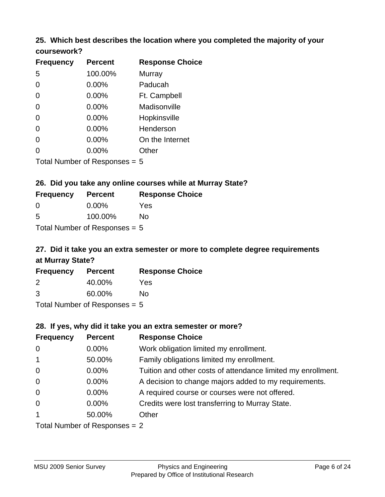## **25. Which best describes the location where you completed the majority of your coursework?**

| <b>Frequency</b> | <b>Percent</b>             | <b>Response Choice</b> |
|------------------|----------------------------|------------------------|
| 5                | 100.00%                    | <b>Murray</b>          |
| $\overline{0}$   | 0.00%                      | Paducah                |
| $\Omega$         | 0.00%                      | Ft. Campbell           |
| $\overline{0}$   | 0.00%                      | Madisonville           |
| $\overline{0}$   | 0.00%                      | Hopkinsville           |
| 0                | 0.00%                      | Henderson              |
| $\overline{0}$   | 0.00%                      | On the Internet        |
| 0                | 0.00%                      | Other                  |
|                  | Total Number of Deepersoon |                        |

Total Number of Responses = 5

## **26. Did you take any online courses while at Murray State?**

| <b>Frequency</b>                | <b>Percent</b> | <b>Response Choice</b> |  |
|---------------------------------|----------------|------------------------|--|
| - 0                             | $0.00\%$       | Yes                    |  |
| -5                              | 100.00%        | No                     |  |
| Total Number of Responses $= 5$ |                |                        |  |

# **27. Did it take you an extra semester or more to complete degree requirements at Murray State?**

| <b>Frequency</b> | <b>Percent</b>            | <b>Response Choice</b> |
|------------------|---------------------------|------------------------|
| 2                | 40.00%                    | Yes                    |
| 3                | 60.00%                    | No                     |
|                  | Total Number of Deepersee |                        |

Total Number of Responses = 5

## **28. If yes, why did it take you an extra semester or more?**

| <b>Frequency</b>              | <b>Percent</b> | <b>Response Choice</b>                                       |
|-------------------------------|----------------|--------------------------------------------------------------|
| $\mathbf 0$                   | $0.00\%$       | Work obligation limited my enrollment.                       |
| $\overline{1}$                | 50.00%         | Family obligations limited my enrollment.                    |
| $\mathbf 0$                   | $0.00\%$       | Tuition and other costs of attendance limited my enrollment. |
| $\mathbf 0$                   | $0.00\%$       | A decision to change majors added to my requirements.        |
| $\mathbf 0$                   | $0.00\%$       | A required course or courses were not offered.               |
| $\overline{0}$                | $0.00\%$       | Credits were lost transferring to Murray State.              |
| $\mathbf{1}$                  | 50.00%         | Other                                                        |
| Total Number of Responses = 2 |                |                                                              |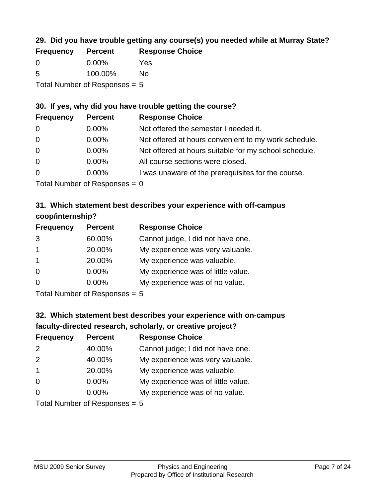# **29. Did you have trouble getting any course(s) you needed while at Murray State?**

| <b>Frequency</b>                | <b>Percent</b> | <b>Response Choice</b> |  |
|---------------------------------|----------------|------------------------|--|
| - 0                             | $0.00\%$       | Yes                    |  |
| -5                              | 100.00%        | Nο                     |  |
| Total Number of Responses $= 5$ |                |                        |  |

## **30. If yes, why did you have trouble getting the course?**

| <b>Frequency</b> | <b>Percent</b> | <b>Response Choice</b>                                |
|------------------|----------------|-------------------------------------------------------|
| $\overline{0}$   | $0.00\%$       | Not offered the semester I needed it.                 |
| $\overline{0}$   | $0.00\%$       | Not offered at hours convenient to my work schedule.  |
| $\overline{0}$   | $0.00\%$       | Not offered at hours suitable for my school schedule. |
| $\overline{0}$   | $0.00\%$       | All course sections were closed.                      |
| $\overline{0}$   | $0.00\%$       | I was unaware of the prerequisites for the course.    |
|                  |                |                                                       |

Total Number of Responses  $= 0$ 

# **31. Which statement best describes your experience with off-campus coop/internship?**

| <b>Frequency</b> | <b>Percent</b>                                                      | <b>Response Choice</b>             |
|------------------|---------------------------------------------------------------------|------------------------------------|
| 3                | 60.00%                                                              | Cannot judge, I did not have one.  |
| $\mathbf 1$      | 20.00%                                                              | My experience was very valuable.   |
| $\mathbf 1$      | 20.00%                                                              | My experience was valuable.        |
| $\Omega$         | $0.00\%$                                                            | My experience was of little value. |
| $\Omega$         | 0.00%                                                               | My experience was of no value.     |
|                  | $T$ at all $\lambda$ become large at $D$ are a second and $\lambda$ |                                    |

Total Number of Responses = 5

# **32. Which statement best describes your experience with on-campus faculty-directed research, scholarly, or creative project?**

| <b>Frequency</b> | <b>Percent</b>              | <b>Response Choice</b>             |
|------------------|-----------------------------|------------------------------------|
| 2                | 40.00%                      | Cannot judge; I did not have one.  |
| 2                | 40.00%                      | My experience was very valuable.   |
| $\mathbf{1}$     | 20.00%                      | My experience was valuable.        |
| $\Omega$         | $0.00\%$                    | My experience was of little value. |
| $\Omega$         | $0.00\%$                    | My experience was of no value.     |
|                  | Total Number of Despanses E |                                    |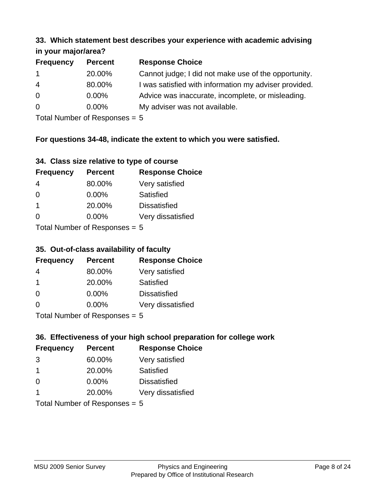#### **33. Which statement best describes your experience with academic advising in your major/area?**

| $\mathbf{u}$ yvu $\mathbf{u}$ yvu $\mathbf{v}$ |                |                                                       |
|------------------------------------------------|----------------|-------------------------------------------------------|
| <b>Frequency</b>                               | <b>Percent</b> | <b>Response Choice</b>                                |
| $\mathbf 1$                                    | 20.00%         | Cannot judge; I did not make use of the opportunity.  |
| $\overline{4}$                                 | 80.00%         | I was satisfied with information my adviser provided. |
| $\overline{0}$                                 | 0.00%          | Advice was inaccurate, incomplete, or misleading.     |
| $\overline{0}$                                 | 0.00%          | My adviser was not available.                         |
|                                                |                |                                                       |

Total Number of Responses = 5

# **For questions 34-48, indicate the extent to which you were satisfied.**

| 34. Class size relative to type of course |  |  |  |  |  |  |  |  |
|-------------------------------------------|--|--|--|--|--|--|--|--|
|-------------------------------------------|--|--|--|--|--|--|--|--|

| <b>Frequency</b>              | <b>Percent</b> | <b>Response Choice</b> |  |  |
|-------------------------------|----------------|------------------------|--|--|
| 4                             | 80.00%         | Very satisfied         |  |  |
| $\Omega$                      | 0.00%          | <b>Satisfied</b>       |  |  |
| -1                            | 20.00%         | <b>Dissatisfied</b>    |  |  |
| $\Omega$                      | $0.00\%$       | Very dissatisfied      |  |  |
| $Total Number of Denonce - E$ |                |                        |  |  |

 $Total$  Number of Responses  $= 5$ 

## **35. Out-of-class availability of faculty**

| <b>Frequency</b> | <b>Percent</b>            | <b>Response Choice</b> |
|------------------|---------------------------|------------------------|
| 4                | 80.00%                    | Very satisfied         |
| $\overline{1}$   | 20.00%                    | Satisfied              |
| 0                | $0.00\%$                  | <b>Dissatisfied</b>    |
| $\Omega$         | $0.00\%$                  | Very dissatisfied      |
|                  | Total Number of Deepensee |                        |

Total Number of Responses = 5

# **36. Effectiveness of your high school preparation for college work**

| <b>Frequency</b> | <b>Percent</b>                         | <b>Response Choice</b> |
|------------------|----------------------------------------|------------------------|
| 3                | 60.00%                                 | Very satisfied         |
| -1               | 20.00%                                 | Satisfied              |
| $\Omega$         | $0.00\%$                               | <b>Dissatisfied</b>    |
|                  | 20.00%                                 | Very dissatisfied      |
|                  | $Total Number of Denonce -\frac{1}{2}$ |                        |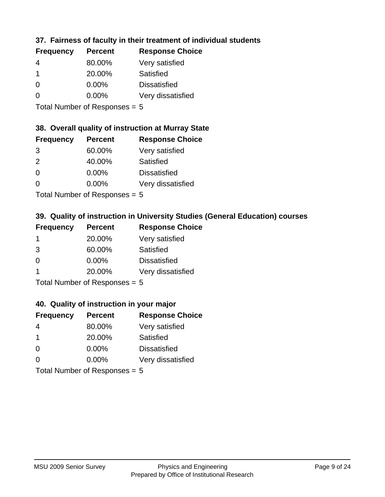# **37. Fairness of faculty in their treatment of individual students**

| <b>Frequency</b> | <b>Percent</b> | <b>Response Choice</b> |
|------------------|----------------|------------------------|
| 4                | 80.00%         | Very satisfied         |
|                  | 20.00%         | Satisfied              |
| $\Omega$         | $0.00\%$       | <b>Dissatisfied</b>    |
| $\Omega$         | 0.00%          | Very dissatisfied      |
|                  |                |                        |

Total Number of Responses = 5

## **38. Overall quality of instruction at Murray State**

| <b>Frequency</b> | <b>Percent</b> | <b>Response Choice</b> |
|------------------|----------------|------------------------|
| 3                | 60.00%         | Very satisfied         |
| $\mathcal{P}$    | 40.00%         | Satisfied              |
| $\Omega$         | 0.00%          | <b>Dissatisfied</b>    |
| ∩                | 0.00%          | Very dissatisfied      |
|                  |                |                        |

Total Number of Responses = 5

# **39. Quality of instruction in University Studies (General Education) courses**

| <b>Frequency</b> | <b>Percent</b>                                                                                                  | <b>Response Choice</b> |
|------------------|-----------------------------------------------------------------------------------------------------------------|------------------------|
|                  | 20.00%                                                                                                          | Very satisfied         |
| 3                | 60.00%                                                                                                          | Satisfied              |
| $\Omega$         | $0.00\%$                                                                                                        | <b>Dissatisfied</b>    |
|                  | 20.00%                                                                                                          | Very dissatisfied      |
|                  | The Little and the Little Communication of the Communication of the Communication of the Communication of the U |                        |

Total Number of Responses = 5

## **40. Quality of instruction in your major**

| <b>Frequency</b> | <b>Percent</b>            | <b>Response Choice</b> |
|------------------|---------------------------|------------------------|
| 4                | 80.00%                    | Very satisfied         |
| -1               | 20.00%                    | Satisfied              |
| $\Omega$         | 0.00%                     | <b>Dissatisfied</b>    |
| $\Omega$         | 0.00%                     | Very dissatisfied      |
|                  | Total Number of Deepersee |                        |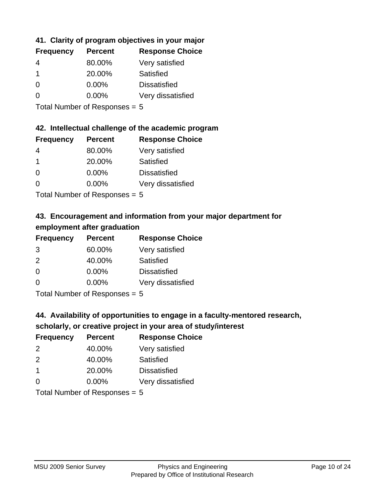# **41. Clarity of program objectives in your major**

| <b>Frequency</b> | <b>Percent</b> | <b>Response Choice</b> |
|------------------|----------------|------------------------|
|                  | 80.00%         | Very satisfied         |
| 1                | 20.00%         | Satisfied              |
| 0                | $0.00\%$       | <b>Dissatisfied</b>    |
|                  | $0.00\%$       | Very dissatisfied      |
|                  |                |                        |

Total Number of Responses = 5

## **42. Intellectual challenge of the academic program**

| <b>Frequency</b> | <b>Percent</b> | <b>Response Choice</b> |
|------------------|----------------|------------------------|
| 4                | 80.00%         | Very satisfied         |
|                  | 20.00%         | Satisfied              |
| $\Omega$         | 0.00%          | <b>Dissatisfied</b>    |
| $\Omega$         | 0.00%          | Very dissatisfied      |
|                  |                |                        |

Total Number of Responses = 5

# **43. Encouragement and information from your major department for employment after graduation**

| <b>Frequency</b> | <b>Percent</b>             | <b>Response Choice</b> |
|------------------|----------------------------|------------------------|
| 3                | 60.00%                     | Very satisfied         |
| 2                | 40.00%                     | Satisfied              |
| $\overline{0}$   | $0.00\%$                   | <b>Dissatisfied</b>    |
| $\Omega$         | $0.00\%$                   | Very dissatisfied      |
|                  | Total Number of Desperance |                        |

Total Number of Responses = 5

# **44. Availability of opportunities to engage in a faculty-mentored research,**

# **scholarly, or creative project in your area of study/interest**

| <b>Frequency</b> | <b>Percent</b> | <b>Response Choice</b> |
|------------------|----------------|------------------------|
| $\mathcal{P}$    | 40.00%         | Very satisfied         |
| $\mathcal{P}$    | 40.00%         | Satisfied              |
|                  | 20.00%         | <b>Dissatisfied</b>    |
| $\Omega$         | 0.00%          | Very dissatisfied      |
|                  |                |                        |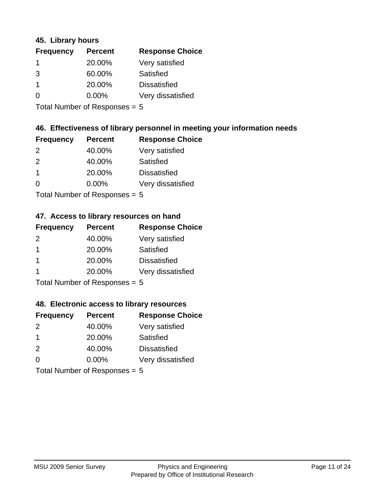## **45. Library hours**

| <b>Frequency</b> | <b>Percent</b> | <b>Response Choice</b> |
|------------------|----------------|------------------------|
| $\mathbf 1$      | 20.00%         | Very satisfied         |
| 3                | 60.00%         | Satisfied              |
| -1               | 20.00%         | <b>Dissatisfied</b>    |
| 0                | $0.00\%$       | Very dissatisfied      |
|                  |                |                        |

Total Number of Responses = 5

## **46. Effectiveness of library personnel in meeting your information needs**

| <b>Frequency</b> | <b>Percent</b> | <b>Response Choice</b> |
|------------------|----------------|------------------------|
| $\mathcal{P}$    | 40.00%         | Very satisfied         |
| $\mathcal{P}$    | 40.00%         | Satisfied              |
|                  | 20.00%         | <b>Dissatisfied</b>    |
| ∩                | $0.00\%$       | Very dissatisfied      |
|                  |                |                        |

Total Number of Responses = 5

## **47. Access to library resources on hand**

| <b>Frequency</b> | <b>Percent</b>                                                     | <b>Response Choice</b> |
|------------------|--------------------------------------------------------------------|------------------------|
| $\mathcal{P}$    | 40.00%                                                             | Very satisfied         |
| $\overline{1}$   | 20.00%                                                             | Satisfied              |
| -1               | 20.00%                                                             | <b>Dissatisfied</b>    |
|                  | 20.00%                                                             | Very dissatisfied      |
|                  | $T$ at all Masseds and $R$ $\sim$ and $\sim$ and $\sim$ and $\sim$ |                        |

Total Number of Responses = 5

## **48. Electronic access to library resources**

| <b>Frequency</b> | <b>Percent</b>            | <b>Response Choice</b> |
|------------------|---------------------------|------------------------|
| $\mathcal{P}$    | 40.00%                    | Very satisfied         |
| -1               | 20.00%                    | Satisfied              |
| 2                | 40.00%                    | <b>Dissatisfied</b>    |
| $\Omega$         | 0.00%                     | Very dissatisfied      |
|                  | Total Number of Deepersee |                        |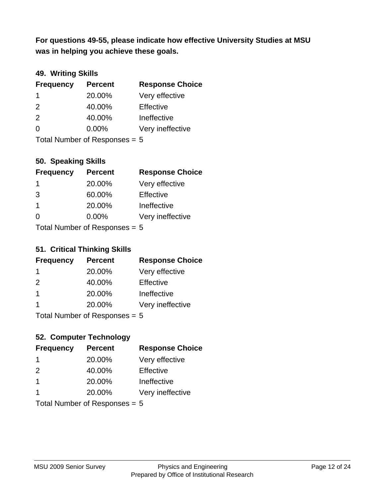**was in helping you achieve these goals. For questions 49-55, please indicate how effective University Studies at MSU** 

# **49. Writing Skills**

| <b>Frequency</b>                | <b>Percent</b> | <b>Response Choice</b> |
|---------------------------------|----------------|------------------------|
| -1                              | 20.00%         | Very effective         |
| 2                               | 40.00%         | Effective              |
| 2                               | 40.00%         | Ineffective            |
| $\Omega$                        | $0.00\%$       | Very ineffective       |
| Total Number of Responses = $5$ |                |                        |

**50. Speaking Skills**

| <b>Frequency</b> | <b>Percent</b>            | <b>Response Choice</b> |
|------------------|---------------------------|------------------------|
| -1               | 20.00%                    | Very effective         |
| 3                | 60.00%                    | Effective              |
| $\overline{1}$   | 20.00%                    | Ineffective            |
| $\Omega$         | 0.00%                     | Very ineffective       |
|                  | Total Number of Desponses |                        |

Total Number of Responses = 5

## **51. Critical Thinking Skills**

| <b>Frequency</b> | <b>Percent</b>             | <b>Response Choice</b> |
|------------------|----------------------------|------------------------|
|                  | 20.00%                     | Very effective         |
| $\mathcal{P}$    | 40.00%                     | Effective              |
| $\mathbf 1$      | 20.00%                     | Ineffective            |
|                  | 20.00%                     | Very ineffective       |
|                  | Tatal Number of Desperance |                        |

Total Number of Responses = 5

# **52. Computer Technology**

| <b>Frequency</b>                | <b>Percent</b> | <b>Response Choice</b> |
|---------------------------------|----------------|------------------------|
| -1                              | 20.00%         | Very effective         |
| $\mathcal{P}$                   | 40.00%         | Effective              |
| $\mathbf 1$                     | 20.00%         | Ineffective            |
| -1                              | 20.00%         | Very ineffective       |
| Total Number of Responses = $5$ |                |                        |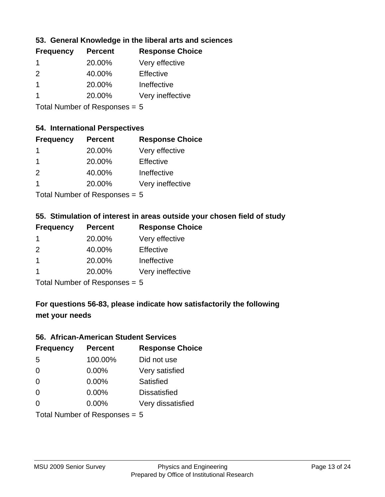# **53. General Knowledge in the liberal arts and sciences**

| <b>Frequency</b> | <b>Percent</b> | <b>Response Choice</b> |
|------------------|----------------|------------------------|
|                  | 20.00%         | Very effective         |
| $\mathcal{P}$    | 40.00%         | Effective              |
|                  | 20.00%         | Ineffective            |
|                  | 20.00%         | Very ineffective       |
|                  |                |                        |

Total Number of Responses = 5

#### **54. International Perspectives**

| <b>Frequency</b> | <b>Percent</b> | <b>Response Choice</b> |
|------------------|----------------|------------------------|
| 1                | 20.00%         | Very effective         |
| 1                | 20.00%         | Effective              |
| $\mathcal{P}$    | 40.00%         | Ineffective            |
| 1                | 20.00%         | Very ineffective       |
|                  |                |                        |

Total Number of Responses = 5

# **55. Stimulation of interest in areas outside your chosen field of study**

| <b>Frequency</b> | <b>Percent</b>             | <b>Response Choice</b> |
|------------------|----------------------------|------------------------|
|                  | 20.00%                     | Very effective         |
| $\mathcal{P}$    | 40.00%                     | Effective              |
| $\overline{1}$   | 20.00%                     | Ineffective            |
|                  | 20.00%                     | Very ineffective       |
|                  | Total Number of Desperance |                        |

Total Number of Responses = 5

# **For questions 56-83, please indicate how satisfactorily the following met your needs**

#### **56. African-American Student Services**

| <b>Frequency</b>                | <b>Percent</b> | <b>Response Choice</b> |
|---------------------------------|----------------|------------------------|
| 5                               | 100.00%        | Did not use            |
| $\Omega$                        | 0.00%          | Very satisfied         |
| $\Omega$                        | 0.00%          | Satisfied              |
| $\Omega$                        | $0.00\%$       | <b>Dissatisfied</b>    |
| $\Omega$                        | 0.00%          | Very dissatisfied      |
| Total Number of Responses = $5$ |                |                        |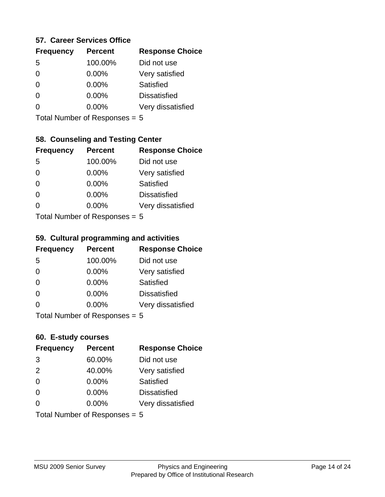## **57. Career Services Office**

| <b>Frequency</b> | <b>Percent</b> | <b>Response Choice</b> |
|------------------|----------------|------------------------|
| .5               | 100.00%        | Did not use            |
| 0                | 0.00%          | Very satisfied         |
| 0                | 0.00%          | <b>Satisfied</b>       |
| 0                | 0.00%          | <b>Dissatisfied</b>    |
|                  | 0.00%          | Very dissatisfied      |
|                  |                |                        |

Total Number of Responses = 5

## **58. Counseling and Testing Center**

| <b>Frequency</b> | <b>Percent</b>             | <b>Response Choice</b> |
|------------------|----------------------------|------------------------|
| -5               | 100.00%                    | Did not use            |
| 0                | 0.00%                      | Very satisfied         |
| $\Omega$         | $0.00\%$                   | <b>Satisfied</b>       |
| $\Omega$         | $0.00\%$                   | <b>Dissatisfied</b>    |
| 0                | $0.00\%$                   | Very dissatisfied      |
|                  | Total Number of Doopengoog |                        |

Total Number of Responses = 5

#### **59. Cultural programming and activities**

| <b>Frequency</b> | <b>Percent</b>            | <b>Response Choice</b> |
|------------------|---------------------------|------------------------|
| 5                | 100.00%                   | Did not use            |
| $\Omega$         | $0.00\%$                  | Very satisfied         |
| $\Omega$         | $0.00\%$                  | Satisfied              |
| $\Omega$         | 0.00%                     | <b>Dissatisfied</b>    |
| $\Omega$         | $0.00\%$                  | Very dissatisfied      |
|                  | Total Number of DoEROR 0. |                        |

I otal Number of Responses  $= 5$ 

## **60. E-study courses**

| <b>Frequency</b>              | <b>Percent</b> | <b>Response Choice</b> |
|-------------------------------|----------------|------------------------|
| 3                             | 60.00%         | Did not use            |
| 2                             | 40.00%         | Very satisfied         |
| $\Omega$                      | 0.00%          | Satisfied              |
| $\Omega$                      | $0.00\%$       | <b>Dissatisfied</b>    |
| $\Omega$                      | $0.00\%$       | Very dissatisfied      |
| Total Number of Responses = 5 |                |                        |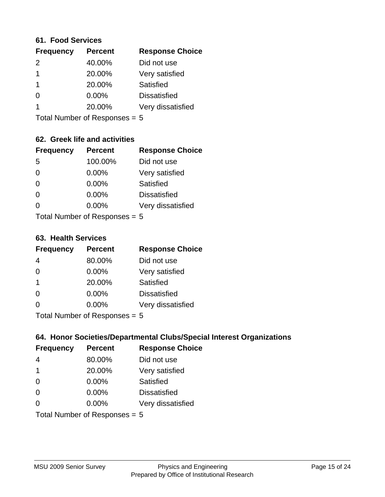#### **61. Food Services**

| <b>Frequency</b> | <b>Percent</b> | <b>Response Choice</b> |
|------------------|----------------|------------------------|
| $\mathcal{P}$    | 40.00%         | Did not use            |
|                  | 20.00%         | Very satisfied         |
|                  | 20.00%         | Satisfied              |
| 0                | $0.00\%$       | <b>Dissatisfied</b>    |
|                  | 20.00%         | Very dissatisfied      |
|                  |                |                        |

Total Number of Responses = 5

# **62. Greek life and activities**

| <b>Frequency</b>                | <b>Percent</b> | <b>Response Choice</b> |
|---------------------------------|----------------|------------------------|
| 5                               | 100.00%        | Did not use            |
| $\Omega$                        | 0.00%          | Very satisfied         |
| $\Omega$                        | 0.00%          | Satisfied              |
| $\Omega$                        | 0.00%          | <b>Dissatisfied</b>    |
| O                               | $0.00\%$       | Very dissatisfied      |
| Total Number of Responses = $5$ |                |                        |

**63. Health Services**

| <b>Frequency</b> | <b>Percent</b>            | <b>Response Choice</b> |
|------------------|---------------------------|------------------------|
| 4                | 80.00%                    | Did not use            |
| 0                | $0.00\%$                  | Very satisfied         |
| $\overline{1}$   | 20.00%                    | Satisfied              |
| $\Omega$         | 0.00%                     | <b>Dissatisfied</b>    |
| $\Omega$         | 0.00%                     | Very dissatisfied      |
|                  | Total Number of Despasses |                        |

Total Number of Responses = 5

## **64. Honor Societies/Departmental Clubs/Special Interest Organizations**

| <b>Frequency</b>              | <b>Percent</b> | <b>Response Choice</b> |
|-------------------------------|----------------|------------------------|
| 4                             | 80.00%         | Did not use            |
| $\mathbf 1$                   | 20.00%         | Very satisfied         |
| $\Omega$                      | 0.00%          | Satisfied              |
| $\Omega$                      | 0.00%          | <b>Dissatisfied</b>    |
| 0                             | 0.00%          | Very dissatisfied      |
| Total Number of Responses = 5 |                |                        |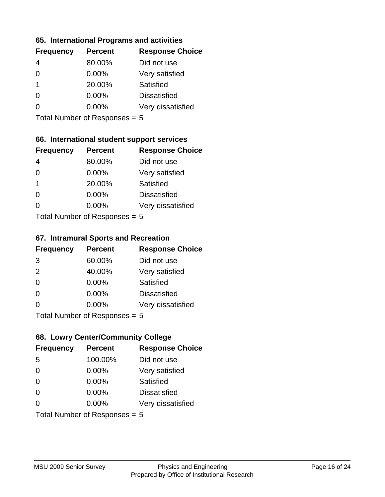## **65. International Programs and activities**

| <b>Frequency</b> | <b>Percent</b> | <b>Response Choice</b> |
|------------------|----------------|------------------------|
|                  | 80.00%         | Did not use            |
| 0                | $0.00\%$       | Very satisfied         |
| 1                | 20.00%         | Satisfied              |
|                  | $0.00\%$       | <b>Dissatisfied</b>    |
|                  | $0.00\%$       | Very dissatisfied      |
|                  |                |                        |

Total Number of Responses = 5

# **66. International student support services**

| <b>Frequency</b>          | <b>Percent</b> | <b>Response Choice</b> |
|---------------------------|----------------|------------------------|
|                           | 80.00%         | Did not use            |
| 0                         | 0.00%          | Very satisfied         |
| 1                         | 20.00%         | <b>Satisfied</b>       |
| 0                         | 0.00%          | <b>Dissatisfied</b>    |
| $\Omega$                  | 0.00%          | Very dissatisfied      |
| Total Number of Desponses |                |                        |

Total Number of Responses = 5

#### **67. Intramural Sports and Recreation**

| <b>Frequency</b> | <b>Percent</b>                  | <b>Response Choice</b> |
|------------------|---------------------------------|------------------------|
| 3                | 60.00%                          | Did not use            |
| 2                | 40.00%                          | Very satisfied         |
| $\Omega$         | $0.00\%$                        | <b>Satisfied</b>       |
| $\Omega$         | 0.00%                           | <b>Dissatisfied</b>    |
| $\Omega$         | $0.00\%$                        | Very dissatisfied      |
|                  | $Total$ Number of Despasses $-$ |                        |

Total Number of Responses = 5

# **68. Lowry Center/Community College**

| <b>Frequency</b> | <b>Percent</b>                  | <b>Response Choice</b> |
|------------------|---------------------------------|------------------------|
| 5                | 100.00%                         | Did not use            |
| $\Omega$         | 0.00%                           | Very satisfied         |
| $\Omega$         | 0.00%                           | Satisfied              |
| $\Omega$         | $0.00\%$                        | <b>Dissatisfied</b>    |
| $\Omega$         | 0.00%                           | Very dissatisfied      |
|                  | Total Number of Responses = $5$ |                        |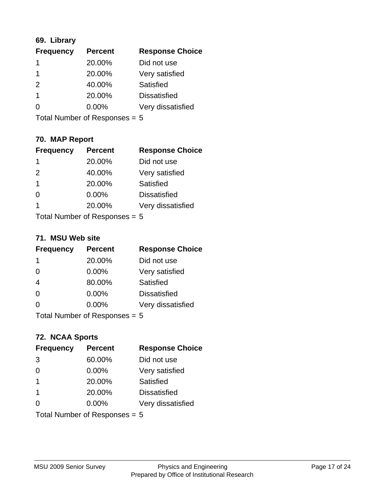# **69. Library**

| <b>Frequency</b> | <b>Percent</b> | <b>Response Choice</b> |
|------------------|----------------|------------------------|
|                  | 20.00%         | Did not use            |
|                  | 20.00%         | Very satisfied         |
| $\mathcal{P}$    | 40.00%         | Satisfied              |
|                  | 20.00%         | <b>Dissatisfied</b>    |
| O                | $0.00\%$       | Very dissatisfied      |
|                  |                |                        |

Total Number of Responses = 5

# **70. MAP Report**

| <b>Frequency</b>                | <b>Percent</b> | <b>Response Choice</b> |
|---------------------------------|----------------|------------------------|
| 1                               | 20.00%         | Did not use            |
| 2                               | 40.00%         | Very satisfied         |
| $\mathbf{1}$                    | 20.00%         | Satisfied              |
| $\Omega$                        | 0.00%          | <b>Dissatisfied</b>    |
| 1                               | 20.00%         | Very dissatisfied      |
| Total Number of Responses = $5$ |                |                        |

#### **71. MSU Web site**

| <b>Frequency</b>                | <b>Percent</b> | <b>Response Choice</b> |
|---------------------------------|----------------|------------------------|
| -1                              | 20.00%         | Did not use            |
| $\Omega$                        | 0.00%          | Very satisfied         |
| $\overline{4}$                  | 80.00%         | Satisfied              |
| $\Omega$                        | 0.00%          | <b>Dissatisfied</b>    |
| ∩                               | 0.00%          | Very dissatisfied      |
| Total Number of Responses = $5$ |                |                        |

# **72. NCAA Sports**

| <b>Frequency</b> | <b>Percent</b>                  | <b>Response Choice</b> |
|------------------|---------------------------------|------------------------|
| 3                | 60.00%                          | Did not use            |
| $\Omega$         | 0.00%                           | Very satisfied         |
| $\overline{1}$   | 20.00%                          | <b>Satisfied</b>       |
| $\overline{1}$   | 20.00%                          | <b>Dissatisfied</b>    |
| $\Omega$         | 0.00%                           | Very dissatisfied      |
|                  | Total Number of Responses = $5$ |                        |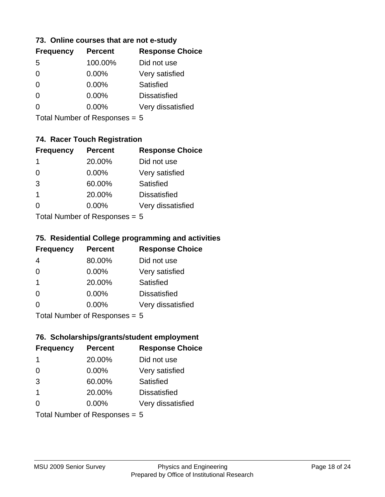## **73. Online courses that are not e-study**

| <b>Percent</b> | <b>Response Choice</b> |
|----------------|------------------------|
| 100.00%        | Did not use            |
| 0.00%          | Very satisfied         |
| $0.00\%$       | Satisfied              |
| $0.00\%$       | <b>Dissatisfied</b>    |
| $0.00\%$       | Very dissatisfied      |
|                |                        |

Total Number of Responses = 5

# **74. Racer Touch Registration**

| <b>Frequency</b> | <b>Percent</b>            | <b>Response Choice</b> |
|------------------|---------------------------|------------------------|
| 1                | 20.00%                    | Did not use            |
| $\Omega$         | 0.00%                     | Very satisfied         |
| 3                | 60.00%                    | <b>Satisfied</b>       |
| 1                | 20.00%                    | <b>Dissatisfied</b>    |
| O                | 0.00%                     | Very dissatisfied      |
|                  | Tatal Number of Despenses |                        |

Total Number of Responses = 5

## **75. Residential College programming and activities**

| <b>Frequency</b> | <b>Percent</b>              | <b>Response Choice</b> |
|------------------|-----------------------------|------------------------|
| 4                | 80.00%                      | Did not use            |
| $\Omega$         | $0.00\%$                    | Very satisfied         |
| $\overline{1}$   | 20.00%                      | Satisfied              |
| $\Omega$         | 0.00%                       | <b>Dissatisfied</b>    |
| $\Omega$         | 0.00%                       | Very dissatisfied      |
|                  | Total Number of Despanses E |                        |

Total Number of Responses = 5

# **76. Scholarships/grants/student employment**

| <b>Frequency</b>              | <b>Percent</b> | <b>Response Choice</b> |
|-------------------------------|----------------|------------------------|
| 1                             | 20.00%         | Did not use            |
| $\Omega$                      | 0.00%          | Very satisfied         |
| 3                             | 60.00%         | Satisfied              |
| $\mathbf{1}$                  | 20.00%         | <b>Dissatisfied</b>    |
| 0                             | $0.00\%$       | Very dissatisfied      |
| Total Number of Responses = 5 |                |                        |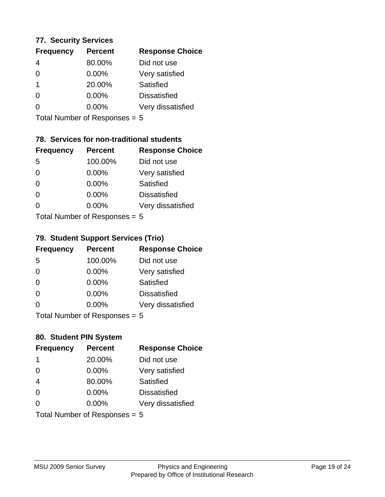## **77. Security Services**

| <b>Frequency</b> | <b>Percent</b> | <b>Response Choice</b> |
|------------------|----------------|------------------------|
| 4                | 80.00%         | Did not use            |
| 0                | 0.00%          | Very satisfied         |
|                  | 20.00%         | Satisfied              |
| 0                | $0.00\%$       | <b>Dissatisfied</b>    |
|                  | $0.00\%$       | Very dissatisfied      |
|                  |                |                        |

Total Number of Responses = 5

# **78. Services for non-traditional students**

| <b>Frequency</b>          | <b>Percent</b> | <b>Response Choice</b> |
|---------------------------|----------------|------------------------|
| -5                        | 100.00%        | Did not use            |
| 0                         | 0.00%          | Very satisfied         |
| $\Omega$                  | 0.00%          | <b>Satisfied</b>       |
| $\Omega$                  | $0.00\%$       | <b>Dissatisfied</b>    |
| 0                         | 0.00%          | Very dissatisfied      |
| Total Number of Desponses |                |                        |

Total Number of Responses = 5

# **79. Student Support Services (Trio)**

| <b>Frequency</b> | <b>Percent</b>              | <b>Response Choice</b> |
|------------------|-----------------------------|------------------------|
| 5                | 100.00%                     | Did not use            |
| $\Omega$         | 0.00%                       | Very satisfied         |
| $\Omega$         | 0.00%                       | Satisfied              |
| $\Omega$         | 0.00%                       | <b>Dissatisfied</b>    |
| $\Omega$         | 0.00%                       | Very dissatisfied      |
|                  | Total Number of Despanses E |                        |

Total Number of Responses = 5

## **80. Student PIN System**

| <b>Frequency</b> | <b>Percent</b>                | <b>Response Choice</b> |
|------------------|-------------------------------|------------------------|
| -1               | 20.00%                        | Did not use            |
| $\Omega$         | 0.00%                         | Very satisfied         |
| $\overline{4}$   | 80.00%                        | Satisfied              |
| $\Omega$         | $0.00\%$                      | <b>Dissatisfied</b>    |
| $\Omega$         | 0.00%                         | Very dissatisfied      |
|                  | Total Number of Responses = 5 |                        |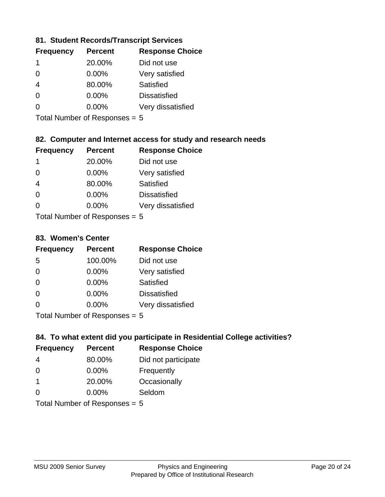# **81. Student Records/Transcript Services**

| <b>Percent</b> | <b>Response Choice</b> |
|----------------|------------------------|
| 20.00%         | Did not use            |
| $0.00\%$       | Very satisfied         |
| 80.00%         | Satisfied              |
| 0.00%          | <b>Dissatisfied</b>    |
| $0.00\%$       | Very dissatisfied      |
|                |                        |

Total Number of Responses = 5

# **82. Computer and Internet access for study and research needs**

| <b>Frequency</b> | <b>Percent</b>                                                                                                                                                                                                                 | <b>Response Choice</b> |
|------------------|--------------------------------------------------------------------------------------------------------------------------------------------------------------------------------------------------------------------------------|------------------------|
| -1               | 20.00%                                                                                                                                                                                                                         | Did not use            |
| $\Omega$         | 0.00%                                                                                                                                                                                                                          | Very satisfied         |
| $\overline{4}$   | 80.00%                                                                                                                                                                                                                         | Satisfied              |
| $\Omega$         | 0.00%                                                                                                                                                                                                                          | <b>Dissatisfied</b>    |
| $\Omega$         | 0.00%                                                                                                                                                                                                                          | Very dissatisfied      |
|                  | The HI district the contract of the contract of the contract of the contract of the contract of the contract of the contract of the contract of the contract of the contract of the contract of the contract of the contract o |                        |

Total Number of Responses = 5

## **83. Women's Center**

| <b>Frequency</b> | <b>Percent</b>                                                                                                                   | <b>Response Choice</b> |
|------------------|----------------------------------------------------------------------------------------------------------------------------------|------------------------|
| -5               | 100.00%                                                                                                                          | Did not use            |
| $\Omega$         | 0.00%                                                                                                                            | Very satisfied         |
| $\Omega$         | $0.00\%$                                                                                                                         | <b>Satisfied</b>       |
| $\Omega$         | $0.00\%$                                                                                                                         | <b>Dissatisfied</b>    |
| 0                | 0.00%                                                                                                                            | Very dissatisfied      |
|                  | $\tau$ . $\tau$ . In the set of $\tau$ , $\tau$ , $\tau$ , $\tau$ , $\tau$ , $\tau$ , $\tau$ , $\tau$ , $\tau$ , $\tau$ , $\tau$ |                        |

Total Number of Responses = 5

## **84. To what extent did you participate in Residential College activities?**

| <b>Frequency</b> | <b>Percent</b>                  | <b>Response Choice</b> |
|------------------|---------------------------------|------------------------|
| 4                | 80.00%                          | Did not participate    |
| $\Omega$         | 0.00%                           | Frequently             |
| $\mathbf 1$      | 20.00%                          | Occasionally           |
| $\Omega$         | 0.00%                           | Seldom                 |
|                  | Total Number of Responses = $5$ |                        |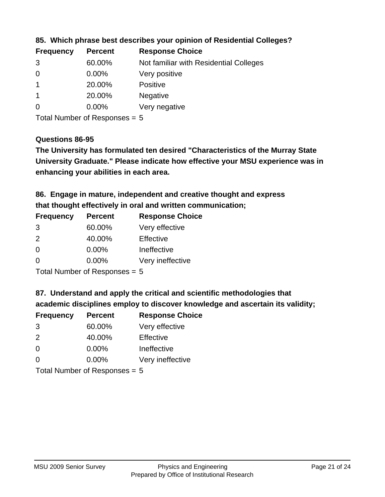| <b>Frequency</b> | <b>Percent</b> | <b>Response Choice</b>                 |
|------------------|----------------|----------------------------------------|
| 3                | 60.00%         | Not familiar with Residential Colleges |
| $\overline{0}$   | 0.00%          | Very positive                          |
|                  | 20.00%         | <b>Positive</b>                        |
|                  | 20.00%         | <b>Negative</b>                        |
| 0                | $0.00\%$       | Very negative                          |
|                  |                |                                        |

**85. Which phrase best describes your opinion of Residential Colleges?**

Total Number of Responses = 5

## **Questions 86-95**

**University Graduate." Please indicate how effective your MSU experience was in The University has formulated ten desired "Characteristics of the Murray State enhancing your abilities in each area.**

**86. Engage in mature, independent and creative thought and express that thought effectively in oral and written communication;**

| <b>Percent</b> | <b>Response Choice</b> |
|----------------|------------------------|
| 60.00%         | Very effective         |
| 40.00%         | Effective              |
| 0.00%          | Ineffective            |
| $0.00\%$       | Very ineffective       |
|                |                        |

Total Number of Responses = 5

**87. Understand and apply the critical and scientific methodologies that** 

**academic disciplines employ to discover knowledge and ascertain its validity;**

| <b>Frequency</b> | <b>Percent</b> | <b>Response Choice</b> |
|------------------|----------------|------------------------|
| 3                | 60.00%         | Very effective         |
| $\mathcal{P}$    | 40.00%         | Effective              |
| $\Omega$         | 0.00%          | Ineffective            |
| ∩                | 0.00%          | Very ineffective       |
|                  |                |                        |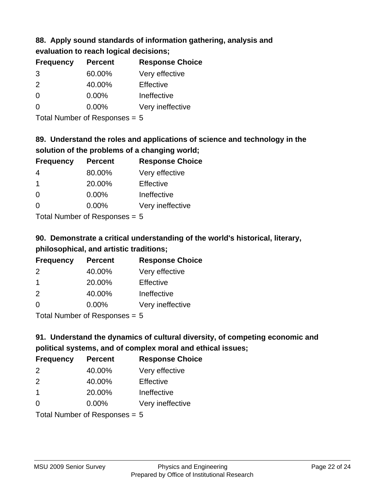# **88. Apply sound standards of information gathering, analysis and**

| evaluation to reach logical decisions; |  |
|----------------------------------------|--|
|----------------------------------------|--|

| <b>Frequency</b> | <b>Percent</b> | <b>Response Choice</b> |
|------------------|----------------|------------------------|
| 3                | 60.00%         | Very effective         |
| $\mathcal{P}$    | 40.00%         | Effective              |
| ∩                | 0.00%          | Ineffective            |
|                  | $0.00\%$       | Very ineffective       |

Total Number of Responses = 5

# **89. Understand the roles and applications of science and technology in the solution of the problems of a changing world;**

| <b>Frequency</b> | <b>Percent</b> | <b>Response Choice</b> |
|------------------|----------------|------------------------|
| 4                | 80.00%         | Very effective         |
| $\mathbf 1$      | 20.00%         | Effective              |
| $\Omega$         | 0.00%          | Ineffective            |
| $\Omega$         | 0.00%          | Very ineffective       |
|                  |                |                        |

Total Number of Responses = 5

# **90. Demonstrate a critical understanding of the world's historical, literary, philosophical, and artistic traditions;**

| <b>Frequency</b> | <b>Percent</b> | <b>Response Choice</b> |
|------------------|----------------|------------------------|
| $\mathcal{P}$    | 40.00%         | Very effective         |
| $\mathbf 1$      | 20.00%         | Effective              |
| 2                | 40.00%         | Ineffective            |
| $\Omega$         | 0.00%          | Very ineffective       |
|                  |                |                        |

Total Number of Responses = 5

# **91. Understand the dynamics of cultural diversity, of competing economic and political systems, and of complex moral and ethical issues;**

| <b>Frequency</b>                | <b>Percent</b> | <b>Response Choice</b> |
|---------------------------------|----------------|------------------------|
| 2                               | 40.00%         | Very effective         |
| $\mathcal{P}$                   | 40.00%         | Effective              |
| $\overline{1}$                  | 20.00%         | Ineffective            |
| $\Omega$                        | $0.00\%$       | Very ineffective       |
| Total Number of Responses = $5$ |                |                        |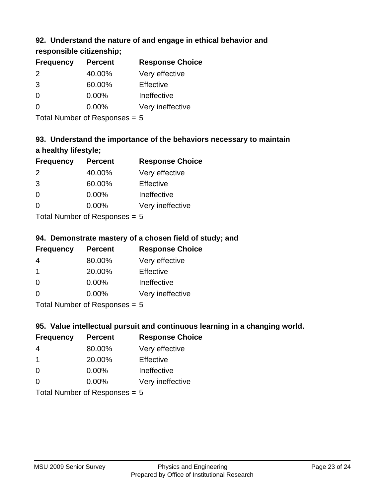# **92. Understand the nature of and engage in ethical behavior and**

# **responsible citizenship;**

| <b>Frequency</b> | <b>Percent</b> | <b>Response Choice</b> |
|------------------|----------------|------------------------|
| 2                | 40.00%         | Very effective         |
| 3                | 60.00%         | Effective              |
| O                | $0.00\%$       | Ineffective            |
|                  | $0.00\%$       | Very ineffective       |
|                  |                |                        |

Total Number of Responses = 5

# **93. Understand the importance of the behaviors necessary to maintain a healthy lifestyle;**

| <b>Frequency</b> | <b>Percent</b> | <b>Response Choice</b> |
|------------------|----------------|------------------------|
| 2                | 40.00%         | Very effective         |
| 3                | 60.00%         | Effective              |
| $\Omega$         | 0.00%          | Ineffective            |
| $\Omega$         | 0.00%          | Very ineffective       |
|                  |                |                        |

Total Number of Responses = 5

# **94. Demonstrate mastery of a chosen field of study; and**

| <b>Frequency</b> | <b>Percent</b> | <b>Response Choice</b> |
|------------------|----------------|------------------------|
| 4                | 80.00%         | Very effective         |
|                  | 20.00%         | Effective              |
| $\Omega$         | $0.00\%$       | Ineffective            |
| ∩                | $0.00\%$       | Very ineffective       |
|                  |                |                        |

Total Number of Responses = 5

# **95. Value intellectual pursuit and continuous learning in a changing world.**

| <b>Frequency</b> | <b>Percent</b> | <b>Response Choice</b> |
|------------------|----------------|------------------------|
| 4                | 80.00%         | Very effective         |
| 1                | 20.00%         | Effective              |
| $\Omega$         | 0.00%          | Ineffective            |
| 0                | 0.00%          | Very ineffective       |
|                  |                |                        |